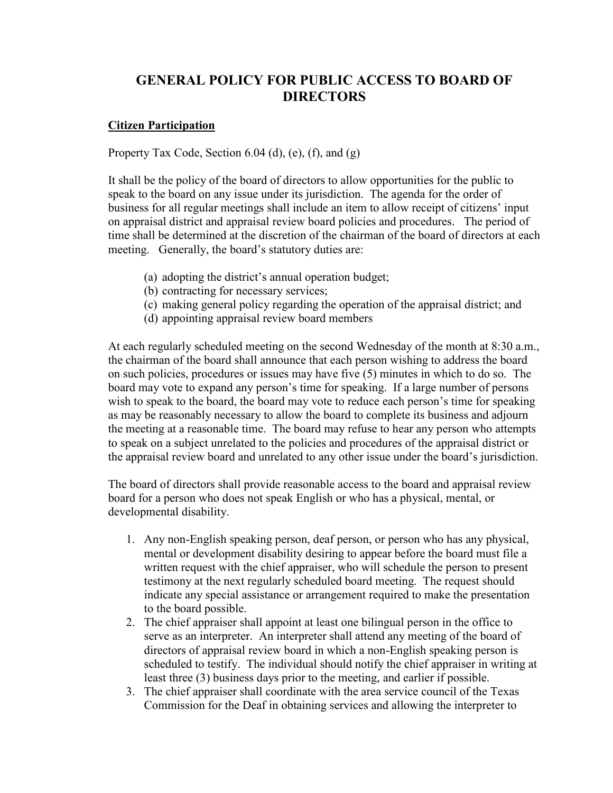## **GENERAL POLICY FOR PUBLIC ACCESS TO BOARD OF DIRECTORS**

## **Citizen Participation**

Property Tax Code, Section  $6.04$  (d), (e), (f), and (g)

It shall be the policy of the board of directors to allow opportunities for the public to speak to the board on any issue under its jurisdiction. The agenda for the order of business for all regular meetings shall include an item to allow receipt of citizens' input on appraisal district and appraisal review board policies and procedures. The period of time shall be determined at the discretion of the chairman of the board of directors at each meeting. Generally, the board's statutory duties are:

- (a) adopting the district's annual operation budget;
- (b) contracting for necessary services;
- (c) making general policy regarding the operation of the appraisal district; and
- (d) appointing appraisal review board members

At each regularly scheduled meeting on the second Wednesday of the month at 8:30 a.m., the chairman of the board shall announce that each person wishing to address the board on such policies, procedures or issues may have five (5) minutes in which to do so. The board may vote to expand any person's time for speaking. If a large number of persons wish to speak to the board, the board may vote to reduce each person's time for speaking as may be reasonably necessary to allow the board to complete its business and adjourn the meeting at a reasonable time. The board may refuse to hear any person who attempts to speak on a subject unrelated to the policies and procedures of the appraisal district or the appraisal review board and unrelated to any other issue under the board's jurisdiction.

The board of directors shall provide reasonable access to the board and appraisal review board for a person who does not speak English or who has a physical, mental, or developmental disability.

- 1. Any non-English speaking person, deaf person, or person who has any physical, mental or development disability desiring to appear before the board must file a written request with the chief appraiser, who will schedule the person to present testimony at the next regularly scheduled board meeting. The request should indicate any special assistance or arrangement required to make the presentation to the board possible.
- 2. The chief appraiser shall appoint at least one bilingual person in the office to serve as an interpreter. An interpreter shall attend any meeting of the board of directors of appraisal review board in which a non-English speaking person is scheduled to testify. The individual should notify the chief appraiser in writing at least three (3) business days prior to the meeting, and earlier if possible.
- 3. The chief appraiser shall coordinate with the area service council of the Texas Commission for the Deaf in obtaining services and allowing the interpreter to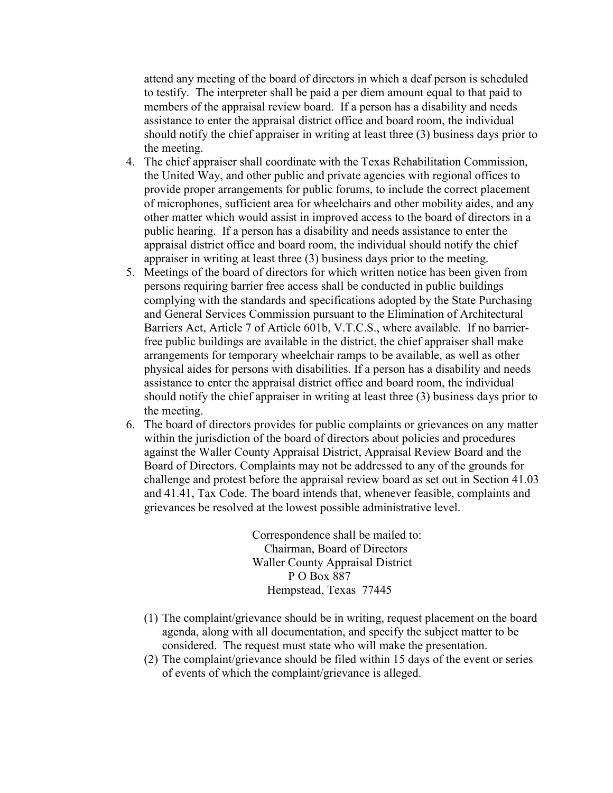attend any meeting of the board of directors in which a deaf person is scheduled to testify. The interpreter shall be paid a per diem amount equal to that paid to members of the appraisal review board. If a person has a disability and needs assistance to enter the appraisal district office and board room, the individual should notify the chief appraiser in writing at least three (3) business days prior to the meeting.

- 4. The chief appraiser shall coordinate with the Texas Rehabilitation Commission, the United Way, and other public and private agencies with regional offices to provide proper arrangements for public forums, to include the correct placement of microphones, sufficient area for wheelchairs and other mobility aides, and any other matter which would assist in improved access to the board of directors in a public hearing. If a person has a disability and needs assistance to enter the appraisal district office and board room, the individual should notify the chief appraiser in writing at least three (3) business days prior to the meeting.
- 5. Meetings of the board of directors for which written notice has been given from persons requiring barrier free access shall be conducted in public buildings complying with the standards and specifications adopted by the State Purchasing and General Services Commission pursuant to the Elimination of Architectural Barriers Act, Article 7 of Article 601b, V.T.C.S., where available. If no barrierfree public buildings are available in the district, the chief appraiser shall make arrangements for temporary wheelchair ramps to be available, as well as other physical aides for persons with disabilities. If a person has a disability and needs assistance to enter the appraisal district office and board room, the individual should notify the chief appraiser in writing at least three (3) business days prior to the meeting.
- 6. The board of directors provides for public complaints or grievances on any matter within the jurisdiction of the board of directors about policies and procedures against the Waller County Appraisal District, Appraisal Review Board and the Board of Directors. Complaints may not be addressed to any of the grounds for challenge and protest before the appraisal review board as set out in Section 41.03 and 41.41, Tax Code. The board intends that, whenever feasible, complaints and grievances be resolved at the lowest possible administrative level.

Correspondence shall be mailed to: Chairman, Board of Directors Waller County Appraisal District P O Box 887 Hempstead, Texas 77445

- (1) The complaint/grievance should be in writing, request placement on the board agenda, along with all documentation, and specify the subject matter to be considered. The request must state who will make the presentation.
- (2) The complaint/grievance should be filed within 15 days of the event or series of events of which the complaint/grievance is alleged.